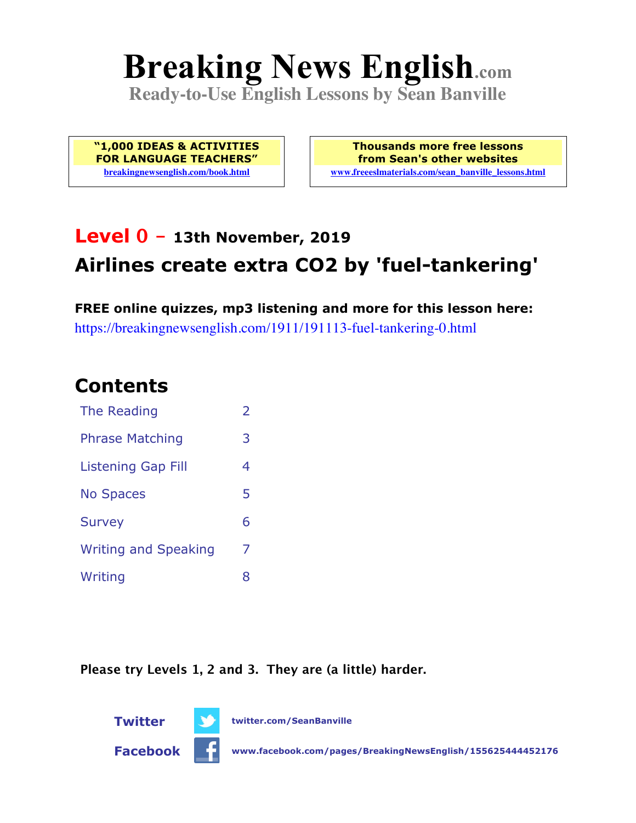# **Breaking News English.com**

**Ready-to-Use English Lessons by Sean Banville**

**"1,000 IDEAS & ACTIVITIES FOR LANGUAGE TEACHERS" breakingnewsenglish.com/book.html**

**Thousands more free lessons from Sean's other websites www.freeeslmaterials.com/sean\_banville\_lessons.html**

# **Level 0 - 13th November, 2019 Airlines create extra CO2 by 'fuel-tankering'**

**FREE online quizzes, mp3 listening and more for this lesson here:** https://breakingnewsenglish.com/1911/191113-fuel-tankering-0.html

#### **Contents**

| The Reading                 | $\overline{\phantom{a}}$ |
|-----------------------------|--------------------------|
| <b>Phrase Matching</b>      | 3                        |
| Listening Gap Fill          | 4                        |
| <b>No Spaces</b>            | 5                        |
| <b>Survey</b>               | 6                        |
| <b>Writing and Speaking</b> | 7                        |
| Writing                     | 8                        |

**Please try Levels 1, 2 and 3. They are (a little) harder.**

**Twitter twitter.com/SeanBanville**



**Facebook www.facebook.com/pages/BreakingNewsEnglish/155625444452176**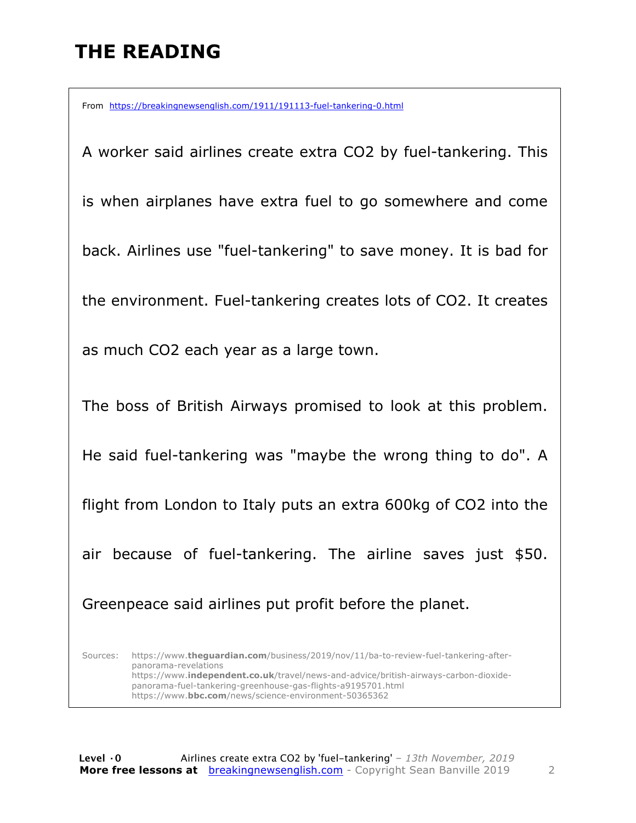# **THE READING**

From https://breakingnewsenglish.com/1911/191113-fuel-tankering-0.html

A worker said airlines create extra CO2 by fuel-tankering. This is when airplanes have extra fuel to go somewhere and come back. Airlines use "fuel-tankering" to save money. It is bad for the environment. Fuel-tankering creates lots of CO2. It creates as much CO2 each year as a large town. The boss of British Airways promised to look at this problem. He said fuel-tankering was "maybe the wrong thing to do". A flight from London to Italy puts an extra 600kg of CO2 into the air because of fuel-tankering. The airline saves just \$50. Greenpeace said airlines put profit before the planet. Sources: https://www.**theguardian.com**/business/2019/nov/11/ba-to-review-fuel-tankering-afterpanorama-revelations https://www.**independent.co.uk**/travel/news-and-advice/british-airways-carbon-dioxidepanorama-fuel-tankering-greenhouse-gas-flights-a9195701.html

https://www.**bbc.com**/news/science-environment-50365362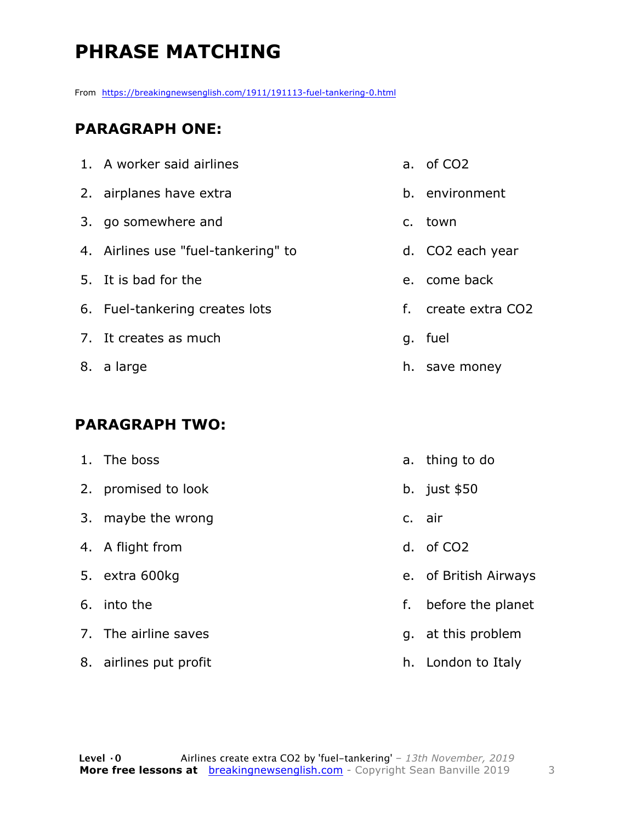# **PHRASE MATCHING**

From https://breakingnewsenglish.com/1911/191113-fuel-tankering-0.html

#### **PARAGRAPH ONE:**

| 1. A worker said airlines           | a. of CO <sub>2</sub> |
|-------------------------------------|-----------------------|
| 2. airplanes have extra             | b. environment        |
| 3. go somewhere and                 | c. town               |
| 4. Airlines use "fuel-tankering" to | d. CO2 each year      |
| 5. It is bad for the                | e. come back          |
| 6. Fuel-tankering creates lots      | f. create extra CO2   |
| 7. It creates as much               | g. fuel               |
| 8. a large                          | h. save money         |
|                                     |                       |

#### **PARAGRAPH TWO:**

| 1. The boss            |    | a. thing to do        |
|------------------------|----|-----------------------|
| 2. promised to look    |    | b. just $$50$         |
| 3. maybe the wrong     |    | c. air                |
| 4. A flight from       |    | d. of CO <sub>2</sub> |
| 5. extra 600kg         |    | e. of British Airways |
| 6. into the            | f. | before the planet     |
| 7. The airline saves   |    | g. at this problem    |
| 8. airlines put profit |    | h. London to Italy    |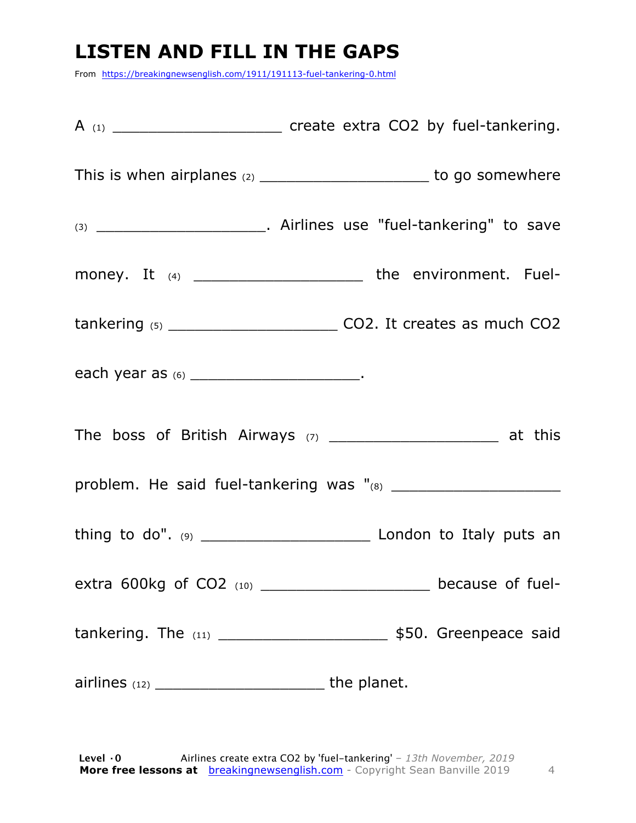## **LISTEN AND FILL IN THE GAPS**

From https://breakingnewsenglish.com/1911/191113-fuel-tankering-0.html

| This is when airplanes $(2)$ _____________________________ to go somewhere |
|----------------------------------------------------------------------------|
|                                                                            |
| money. It $(4)$ ____________________________ the environment. Fuel-        |
|                                                                            |
| each year as (6) ________________________________.                         |
|                                                                            |
|                                                                            |
|                                                                            |
| extra 600kg of CO2 (10) _______________________ because of fuel-           |
|                                                                            |
|                                                                            |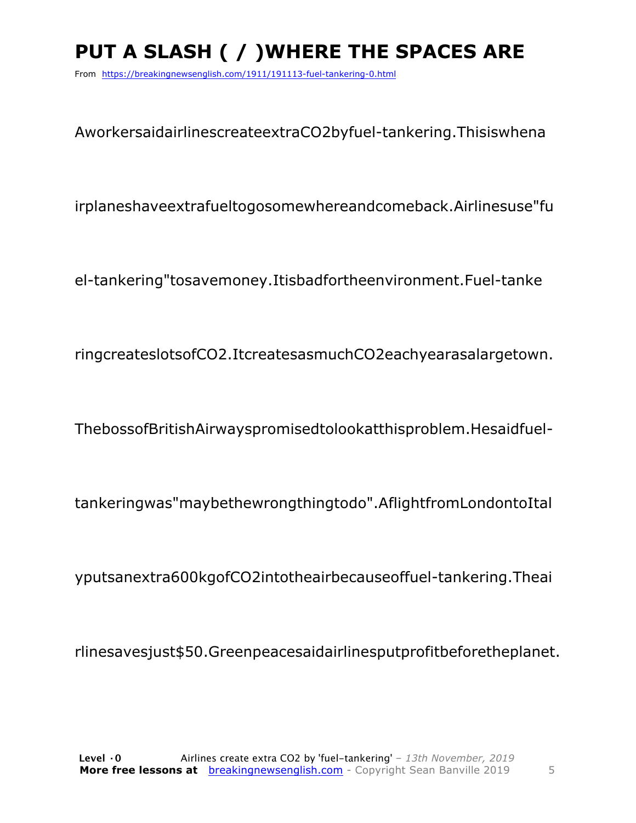# PUT A SLASH ( / ) WHERE THE SPACES ARE

From https://breakingnewsenglish.com/1911/191113-fuel-tankering-0.html

AworkersaidairlinescreateextraCO2byfuel-tankering. Thisiswhena

irplaneshaveextrafueltogosomewhereandcomeback.Airlinesuse"fu

el-tankering"tosavemoney.Itisbadfortheenvironment.Fuel-tanke

ringcreateslotsofCO2.ItcreatesasmuchCO2eachyearasalargetown.

ThebossofBritishAirwayspromisedtolookatthisproblem.Hesaidfuel-

tankeringwas" may be the wrong thing to do". A flight from London to Ital

yputsanextra600kgofCO2intotheairbecauseoffuel-tankering.Theai

rlinesavesjust\$50.Greenpeacesaidairlinesputprofitbeforetheplanet.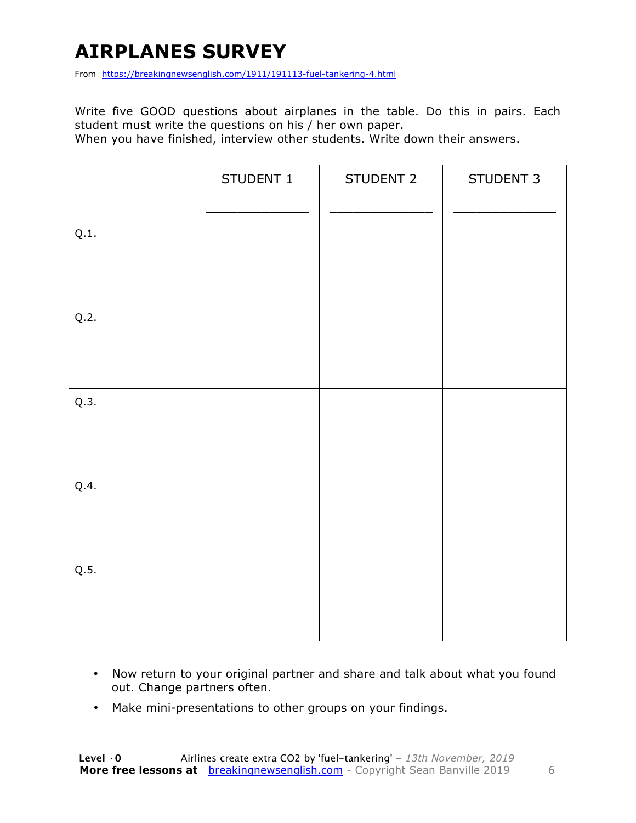## **AIRPLANES SURVEY**

From https://breakingnewsenglish.com/1911/191113-fuel-tankering-4.html

Write five GOOD questions about airplanes in the table. Do this in pairs. Each student must write the questions on his / her own paper.

When you have finished, interview other students. Write down their answers.

|      | STUDENT 1 | STUDENT 2 | STUDENT 3 |
|------|-----------|-----------|-----------|
| Q.1. |           |           |           |
| Q.2. |           |           |           |
| Q.3. |           |           |           |
| Q.4. |           |           |           |
| Q.5. |           |           |           |

- Now return to your original partner and share and talk about what you found out. Change partners often.
- Make mini-presentations to other groups on your findings.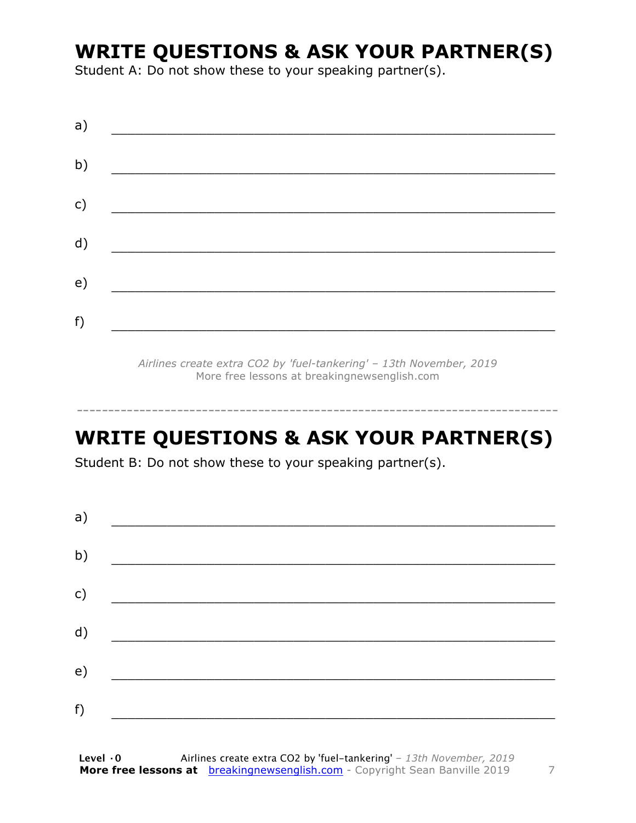#### **WRITE QUESTIONS & ASK YOUR PARTNER(S)**

Student A: Do not show these to your speaking partner(s).

| a) |  |  |
|----|--|--|
| b) |  |  |
| c) |  |  |
| d) |  |  |
| e) |  |  |
| f) |  |  |
|    |  |  |

*Airlines create extra CO2 by 'fuel-tankering' – 13th November, 2019* More free lessons at breakingnewsenglish.com

#### **WRITE QUESTIONS & ASK YOUR PARTNER(S)**

-----------------------------------------------------------------------------

Student B: Do not show these to your speaking partner(s).

| a) |  |  |
|----|--|--|
| b) |  |  |
| c) |  |  |
| d) |  |  |
| e) |  |  |
|    |  |  |
| f) |  |  |